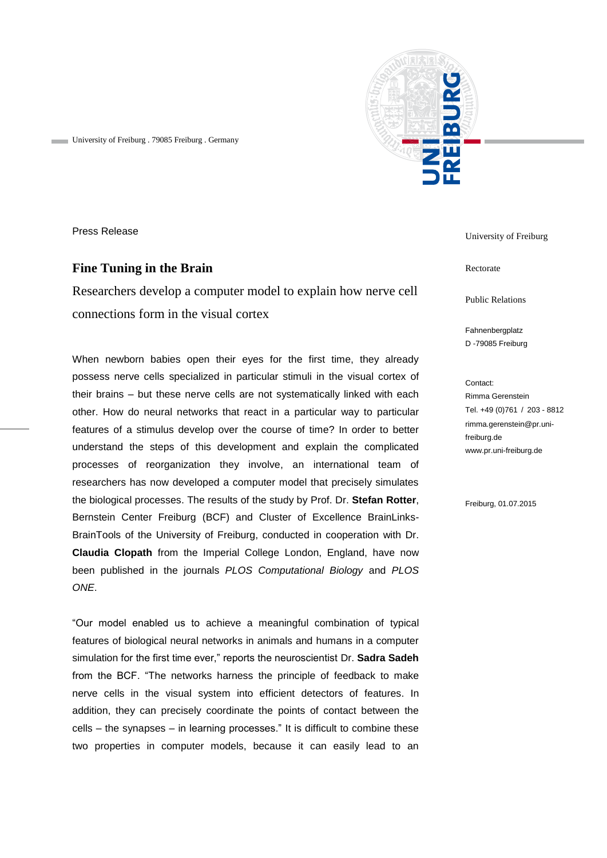

University of Freiburg . 79085 Freiburg . Germany

Press Release

# **Fine Tuning in the Brain**

Researchers develop a computer model to explain how nerve cell connections form in the visual cortex

When newborn babies open their eyes for the first time, they already possess nerve cells specialized in particular stimuli in the visual cortex of their brains – but these nerve cells are not systematically linked with each other. How do neural networks that react in a particular way to particular features of a stimulus develop over the course of time? In order to better understand the steps of this development and explain the complicated processes of reorganization they involve, an international team of researchers has now developed a computer model that precisely simulates the biological processes. The results of the study by Prof. Dr. **Stefan Rotter**, Bernstein Center Freiburg (BCF) and Cluster of Excellence BrainLinks-BrainTools of the University of Freiburg, conducted in cooperation with Dr. **Claudia Clopath** from the Imperial College London, England, have now been published in the journals *PLOS Computational Biology* and *PLOS ONE*.

"Our model enabled us to achieve a meaningful combination of typical features of biological neural networks in animals and humans in a computer simulation for the first time ever," reports the neuroscientist Dr. **Sadra Sadeh** from the BCF. "The networks harness the principle of feedback to make nerve cells in the visual system into efficient detectors of features. In addition, they can precisely coordinate the points of contact between the cells – the synapses – in learning processes." It is difficult to combine these two properties in computer models, because it can easily lead to an

University of Freiburg

Rectorate

Public Relations

Fahnenbergplatz D -79085 Freiburg

Contact: Rimma Gerenstein Tel. +49 (0)761 / 203 - 8812 rimma.gerenstein@pr.unifreiburg.de www.pr.uni-freiburg.de

Freiburg, 01.07.2015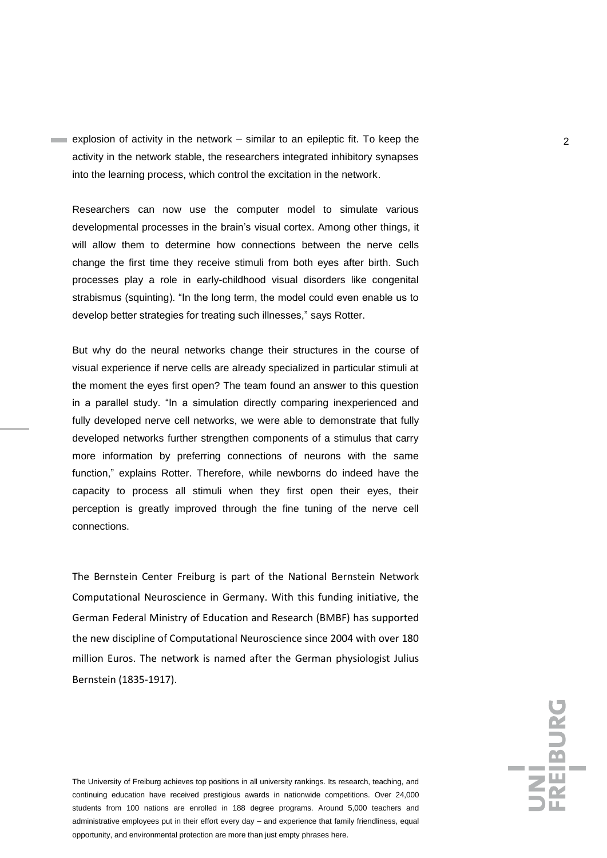explosion of activity in the network – similar to an epileptic fit. To keep the  $\sim$ activity in the network stable, the researchers integrated inhibitory synapses into the learning process, which control the excitation in the network.

Researchers can now use the computer model to simulate various developmental processes in the brain's visual cortex. Among other things, it will allow them to determine how connections between the nerve cells change the first time they receive stimuli from both eyes after birth. Such processes play a role in early-childhood visual disorders like congenital strabismus (squinting). "In the long term, the model could even enable us to develop better strategies for treating such illnesses," says Rotter.

But why do the neural networks change their structures in the course of visual experience if nerve cells are already specialized in particular stimuli at the moment the eyes first open? The team found an answer to this question in a parallel study. "In a simulation directly comparing inexperienced and fully developed nerve cell networks, we were able to demonstrate that fully developed networks further strengthen components of a stimulus that carry more information by preferring connections of neurons with the same function," explains Rotter. Therefore, while newborns do indeed have the capacity to process all stimuli when they first open their eyes, their perception is greatly improved through the fine tuning of the nerve cell connections.

The Bernstein Center Freiburg is part of the National Bernstein Network Computational Neuroscience in Germany. With this funding initiative, the German Federal Ministry of Education and Research (BMBF) has supported the new discipline of Computational Neuroscience since 2004 with over 180 million Euros. The network is named after the German physiologist Julius Bernstein (1835-1917).

The University of Freiburg achieves top positions in all university rankings. Its research, teaching, and continuing education have received prestigious awards in nationwide competitions. Over 24,000 students from 100 nations are enrolled in 188 degree programs. Around 5,000 teachers and administrative employees put in their effort every day – and experience that family friendliness, equal opportunity, and environmental protection are more than just empty phrases here.